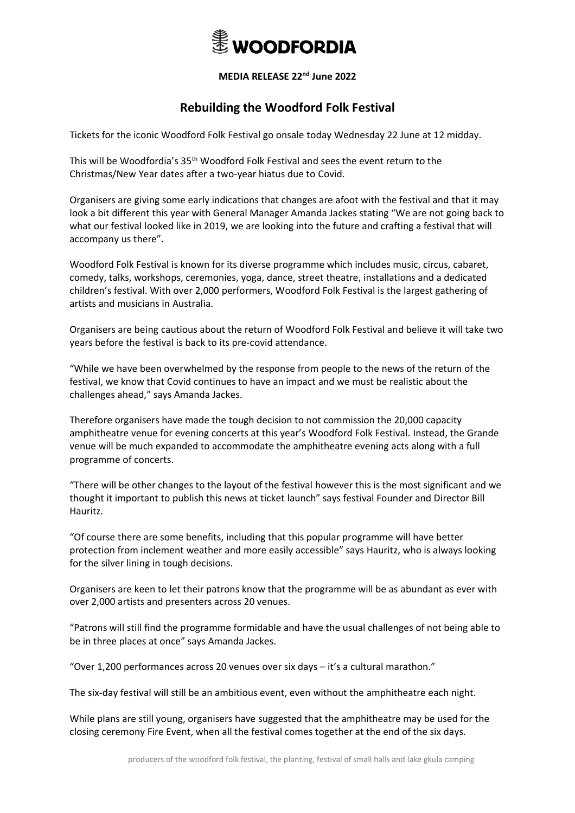

## **MEDIA RELEASE 22 nd June 2022**

## **Rebuilding the Woodford Folk Festival**

Tickets for the iconic Woodford Folk Festival go onsale today Wednesday 22 June at 12 midday.

This will be Woodfordia's 35th Woodford Folk Festival and sees the event return to the Christmas/New Year dates after a two-year hiatus due to Covid.

Organisers are giving some early indications that changes are afoot with the festival and that it may look a bit different this year with General Manager Amanda Jackes stating "We are not going back to what our festival looked like in 2019, we are looking into the future and crafting a festival that will accompany us there".

Woodford Folk Festival is known for its diverse programme which includes music, circus, cabaret, comedy, talks, workshops, ceremonies, yoga, dance, street theatre, installations and a dedicated children's festival. With over 2,000 performers, Woodford Folk Festival is the largest gathering of artists and musicians in Australia.

Organisers are being cautious about the return of Woodford Folk Festival and believe it will take two years before the festival is back to its pre-covid attendance.

"While we have been overwhelmed by the response from people to the news of the return of the festival, we know that Covid continues to have an impact and we must be realistic about the challenges ahead," says Amanda Jackes.

Therefore organisers have made the tough decision to not commission the 20,000 capacity amphitheatre venue for evening concerts at this year's Woodford Folk Festival. Instead, the Grande venue will be much expanded to accommodate the amphitheatre evening acts along with a full programme of concerts.

"There will be other changes to the layout of the festival however this is the most significant and we thought it important to publish this news at ticket launch" says festival Founder and Director Bill Hauritz.

"Of course there are some benefits, including that this popular programme will have better protection from inclement weather and more easily accessible" says Hauritz, who is always looking for the silver lining in tough decisions.

Organisers are keen to let their patrons know that the programme will be as abundant as ever with over 2,000 artists and presenters across 20 venues.

"Patrons will still find the programme formidable and have the usual challenges of not being able to be in three places at once" says Amanda Jackes.

"Over 1,200 performances across 20 venues over six days – it's a cultural marathon."

The six-day festival will still be an ambitious event, even without the amphitheatre each night.

While plans are still young, organisers have suggested that the amphitheatre may be used for the closing ceremony Fire Event, when all the festival comes together at the end of the six days.